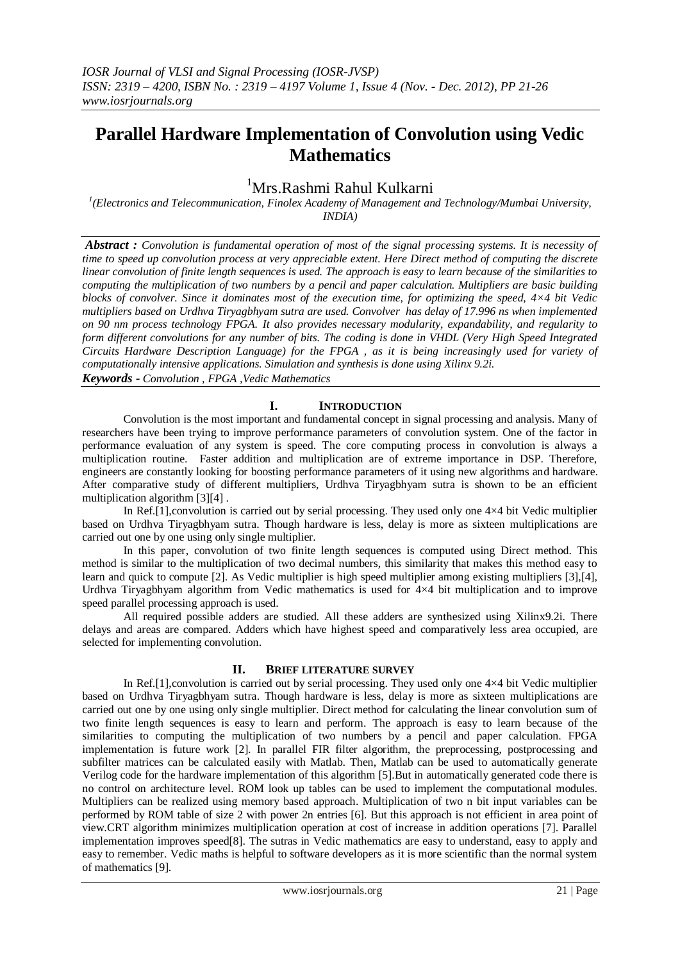# **Parallel Hardware Implementation of Convolution using Vedic Mathematics**

## <sup>1</sup>Mrs.Rashmi Rahul Kulkarni

*1 (Electronics and Telecommunication, Finolex Academy of Management and Technology/Mumbai University, INDIA)*

*Abstract : Convolution is fundamental operation of most of the signal processing systems. It is necessity of time to speed up convolution process at very appreciable extent. Here Direct method of computing the discrete linear convolution of finite length sequences is used. The approach is easy to learn because of the similarities to computing the multiplication of two numbers by a pencil and paper calculation. Multipliers are basic building blocks of convolver. Since it dominates most of the execution time, for optimizing the speed, 4×4 bit Vedic multipliers based on Urdhva Tiryagbhyam sutra are used. Convolver has delay of 17.996 ns when implemented on 90 nm process technology FPGA. It also provides necessary modularity, expandability, and regularity to form different convolutions for any number of bits. The coding is done in VHDL (Very High Speed Integrated Circuits Hardware Description Language) for the FPGA , as it is being increasingly used for variety of computationally intensive applications. Simulation and synthesis is done using Xilinx 9.2i. Keywords - Convolution , FPGA ,Vedic Mathematics* 

## **I. INTRODUCTION**

Convolution is the most important and fundamental concept in signal processing and analysis. Many of researchers have been trying to improve performance parameters of convolution system. One of the factor in performance evaluation of any system is speed. The core computing process in convolution is always a multiplication routine. Faster addition and multiplication are of extreme importance in DSP. Therefore, engineers are constantly looking for boosting performance parameters of it using new algorithms and hardware. After comparative study of different multipliers, Urdhva Tiryagbhyam sutra is shown to be an efficient multiplication algorithm [3][4] .

In Ref.[1], convolution is carried out by serial processing. They used only one  $4\times4$  bit Vedic multiplier based on Urdhva Tiryagbhyam sutra. Though hardware is less, delay is more as sixteen multiplications are carried out one by one using only single multiplier.

In this paper, convolution of two finite length sequences is computed using Direct method. This method is similar to the multiplication of two decimal numbers, this similarity that makes this method easy to learn and quick to compute [2]. As Vedic multiplier is high speed multiplier among existing multipliers [3],[4], Urdhva Tiryagbhyam algorithm from Vedic mathematics is used for 4×4 bit multiplication and to improve speed parallel processing approach is used.

All required possible adders are studied. All these adders are synthesized using Xilinx9.2i. There delays and areas are compared. Adders which have highest speed and comparatively less area occupied, are selected for implementing convolution.

## **II. BRIEF LITERATURE SURVEY**

In Ref.[1],convolution is carried out by serial processing. They used only one 4×4 bit Vedic multiplier based on Urdhva Tiryagbhyam sutra. Though hardware is less, delay is more as sixteen multiplications are carried out one by one using only single multiplier. Direct method for calculating the linear convolution sum of two finite length sequences is easy to learn and perform. The approach is easy to learn because of the similarities to computing the multiplication of two numbers by a pencil and paper calculation. FPGA implementation is future work [2]. In parallel FIR filter algorithm, the preprocessing, postprocessing and subfilter matrices can be calculated easily with Matlab. Then, Matlab can be used to automatically generate Verilog code for the hardware implementation of this algorithm [5].But in automatically generated code there is no control on architecture level. ROM look up tables can be used to implement the computational modules. Multipliers can be realized using memory based approach. Multiplication of two n bit input variables can be performed by ROM table of size 2 with power 2n entries [6]. But this approach is not efficient in area point of view.CRT algorithm minimizes multiplication operation at cost of increase in addition operations [7]. Parallel implementation improves speed[8]. The sutras in Vedic mathematics are easy to understand, easy to apply and easy to remember. Vedic maths is helpful to software developers as it is more scientific than the normal system of mathematics [9].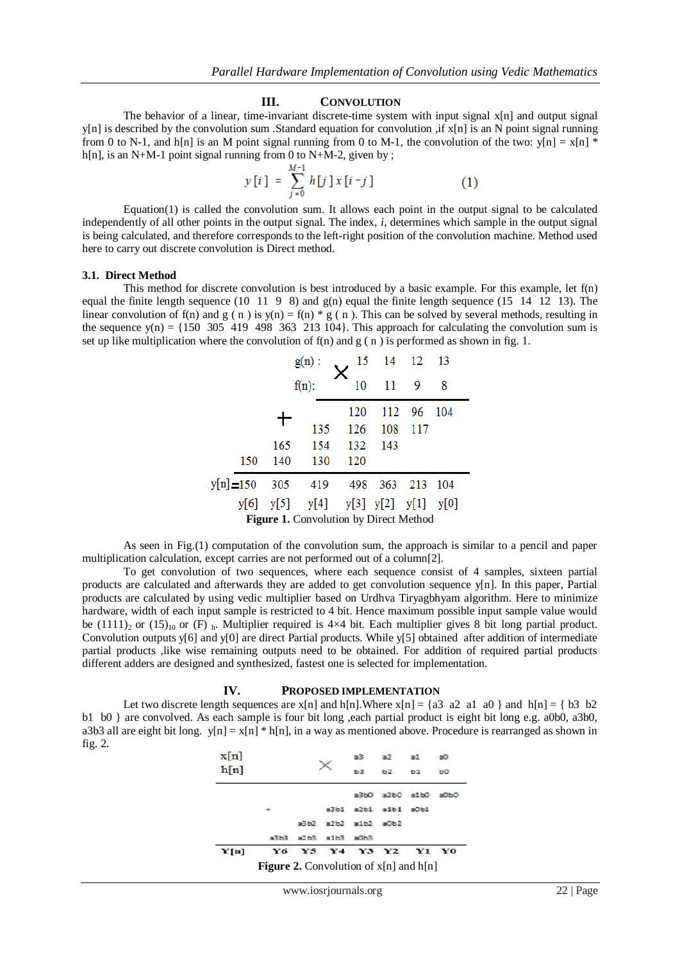#### **III. CONVOLUTION**

The behavior of a linear, time-invariant discrete-time system with input signal x[n] and output signal  $y[n]$  is described by the convolution sum .Standard equation for convolution ,if  $x[n]$  is an N point signal running from 0 to N-1, and h[n] is an M point signal running from 0 to M-1, the convolution of the two: y[n] = x[n] \* h[n], is an N+M-1 point signal running from 0 to N+M-2, given by;

$$
y[i] = \sum_{j=0}^{M-1} h[j] x[i-j] \tag{1}
$$

Equation(1) is called the convolution sum. It allows each point in the output signal to be calculated independently of all other points in the output signal. The index, *i*, determines which sample in the output signal is being calculated, and therefore corresponds to the left-right position of the convolution machine. Method used here to carry out discrete convolution is Direct method.

#### **3.1. Direct Method**

This method for discrete convolution is best introduced by a basic example. For this example, let f(n) equal the finite length sequence (10 11 9 8) and  $g(n)$  equal the finite length sequence (15 14 12 13). The linear convolution of f(n) and  $g(n)$  is  $y(n) = f(n) * g(n)$ . This can be solved by several methods, resulting in the sequence  $y(n) = \{150, 305, 419, 498, 363, 213, 104\}$ . This approach for calculating the convolution sum is set up like multiplication where the convolution of  $f(n)$  and  $g(n)$  is performed as shown in fig. 1.

|              |     |          | $g(n)$ :                                         |     | 15 14 12    |      | - 13  |  |
|--------------|-----|----------|--------------------------------------------------|-----|-------------|------|-------|--|
|              |     | $f(n)$ : |                                                  | 10  | 11          | 9    | 8     |  |
|              |     |          |                                                  | 120 | 112         | - 96 | 104   |  |
|              |     |          | 135                                              | 126 | 108         | 117  |       |  |
|              |     | 165      | 154                                              | 132 | 143         |      |       |  |
|              | 150 | 140      | 130                                              | 120 |             |      |       |  |
| $y[n] = 150$ |     | 305      | 419                                              |     | 498 363 213 |      | - 104 |  |
|              |     |          | $y[6]$ $y[5]$ $y[4]$ $y[3]$ $y[2]$ $y[1]$ $y[0]$ |     |             |      |       |  |
|              |     |          | <b>Figure 1.</b> Convolution by Direct Method    |     |             |      |       |  |

As seen in Fig.(1) computation of the convolution sum, the approach is similar to a pencil and paper multiplication calculation, except carries are not performed out of a column[2].

To get convolution of two sequences, where each sequence consist of 4 samples, sixteen partial products are calculated and afterwards they are added to get convolution sequence y[n]. In this paper, Partial products are calculated by using vedic multiplier based on Urdhva Tiryagbhyam algorithm. Here to minimize hardware, width of each input sample is restricted to 4 bit. Hence maximum possible input sample value would be (1111)<sub>2</sub> or (15)<sub>10</sub> or (F) <sub>h</sub>. Multiplier required is 4×4 bit. Each multiplier gives 8 bit long partial product. Convolution outputs  $y[6]$  and  $y[0]$  are direct Partial products. While  $y[5]$  obtained after addition of intermediate partial products ,like wise remaining outputs need to be obtained. For addition of required partial products different adders are designed and synthesized, fastest one is selected for implementation.

#### **IV. PROPOSED IMPLEMENTATION**

Let two discrete length sequences are  $x[n]$  and  $h[n]$ . Where  $x[n] = \{a3 \ a2 \ a1 \ a0 \}$  and  $h[n] = \{b3 \ b2 \}$ b1 b0 } are convolved. As each sample is four bit long ,each partial product is eight bit long e.g. a0b0, a3b0, a3b3 all are eight bit long.  $y[n] = x[n] * h[n]$ , in a way as mentioned above. Procedure is rearranged as shown in fig. 2.

|      | <b>Figure 2.</b> Convolution of $x[n]$ and $h[n]$ |       |                |      |         |         |    |
|------|---------------------------------------------------|-------|----------------|------|---------|---------|----|
| Y[n] | Y6                                                | Y5    | Y <sub>4</sub> | Y3   | Y2      | Y1      | Y0 |
|      | スミわる                                              | a2 b3 | a1b3           | BOB3 |         |         |    |
|      |                                                   | a3b2  | a2b2           | a1b2 | $= 0b2$ |         |    |
|      |                                                   |       | a3b1           | a2b1 | a1b1    | $a$ Ob1 |    |
|      |                                                   |       |                | a3b0 | a2b0    | 31b0    |    |
| h[n] |                                                   |       |                | ьз   | b2      | 'nТ     | ъo |
| x[n] |                                                   |       |                | a3   |         |         |    |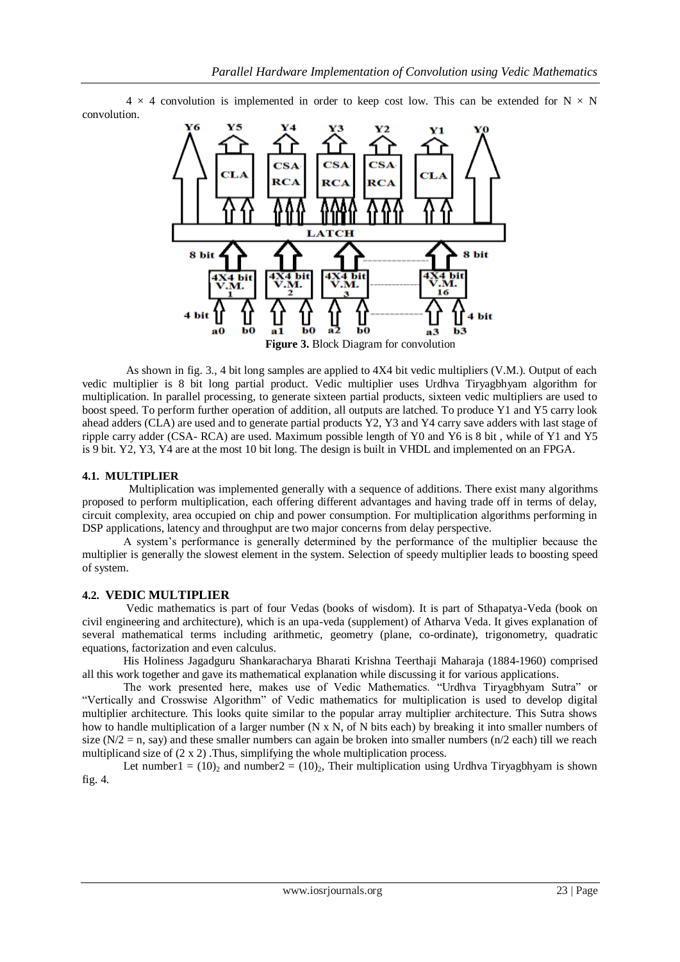$4 \times 4$  convolution is implemented in order to keep cost low. This can be extended for N  $\times$  N convolution.



**Figure 3.** Block Diagram for convolution

As shown in fig. 3., 4 bit long samples are applied to 4X4 bit vedic multipliers (V.M.). Output of each vedic multiplier is 8 bit long partial product. Vedic multiplier uses Urdhva Tiryagbhyam algorithm for multiplication. In parallel processing, to generate sixteen partial products, sixteen vedic multipliers are used to boost speed. To perform further operation of addition, all outputs are latched. To produce Y1 and Y5 carry look ahead adders (CLA) are used and to generate partial products Y2, Y3 and Y4 carry save adders with last stage of ripple carry adder (CSA- RCA) are used. Maximum possible length of Y0 and Y6 is 8 bit , while of Y1 and Y5 is 9 bit. Y2, Y3, Y4 are at the most 10 bit long. The design is built in VHDL and implemented on an FPGA.

#### **4.1. MULTIPLIER**

Multiplication was implemented generally with a sequence of additions. There exist many algorithms proposed to perform multiplication, each offering different advantages and having trade off in terms of delay, circuit complexity, area occupied on chip and power consumption. For multiplication algorithms performing in DSP applications, latency and throughput are two major concerns from delay perspective.

A system's performance is generally determined by the performance of the multiplier because the multiplier is generally the slowest element in the system. Selection of speedy multiplier leads to boosting speed of system.

## **4.2. VEDIC MULTIPLIER**

Vedic mathematics is part of four Vedas (books of wisdom). It is part of Sthapatya-Veda (book on civil engineering and architecture), which is an upa-veda (supplement) of Atharva Veda. It gives explanation of several mathematical terms including arithmetic, geometry (plane, co-ordinate), trigonometry, quadratic equations, factorization and even calculus.

His Holiness Jagadguru Shankaracharya Bharati Krishna Teerthaji Maharaja (1884-1960) comprised all this work together and gave its mathematical explanation while discussing it for various applications.

The work presented here, makes use of Vedic Mathematics. "Urdhva Tiryagbhyam Sutra" or "Vertically and Crosswise Algorithm" of Vedic mathematics for multiplication is used to develop digital multiplier architecture. This looks quite similar to the popular array multiplier architecture. This Sutra shows how to handle multiplication of a larger number (N x N, of N bits each) by breaking it into smaller numbers of size ( $N/2$  = n, say) and these smaller numbers can again be broken into smaller numbers ( $n/2$  each) till we reach multiplicand size of (2 x 2) .Thus, simplifying the whole multiplication process.

Let number  $1 = (10)_2$  and number  $2 = (10)_2$ , Their multiplication using Urdhva Tiryagbhyam is shown fig. 4.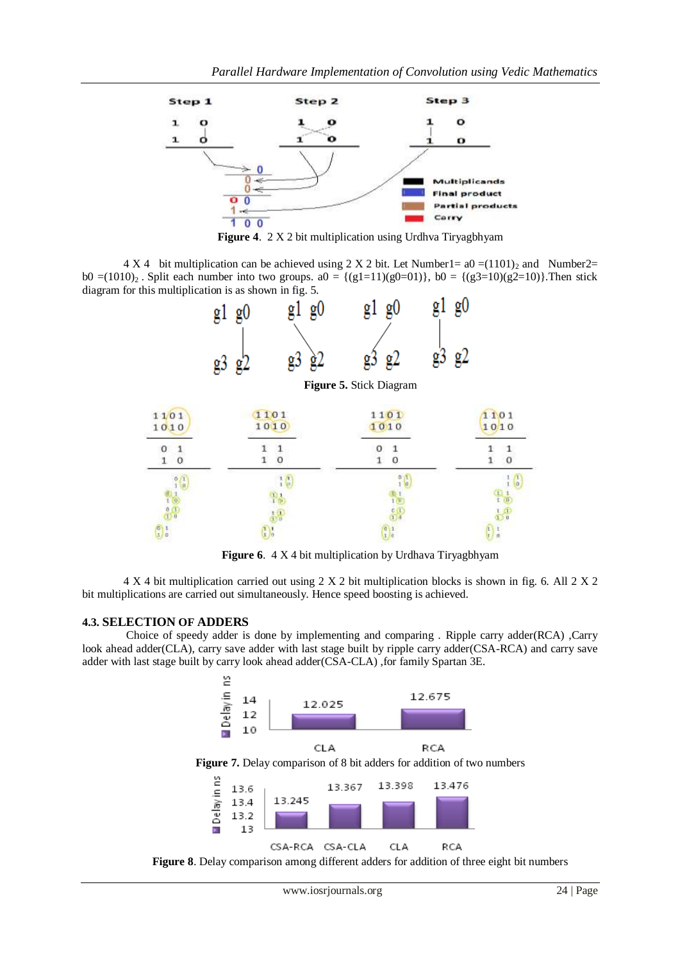

**Figure 4**. 2 X 2 bit multiplication using Urdhva Tiryagbhyam

4 X 4 bit multiplication can be achieved using 2 X 2 bit. Let Number1=  $a0 = (1101)_2$  and Number2= b0 =(1010)<sub>2</sub>. Split each number into two groups. a0 = {(g1=11)(g0=01)}, b0 = {(g3=10)(g2=10)}. Then stick diagram for this multiplication is as shown in fig. 5.



**Figure 6.** 4 X 4 bit multiplication by Urdhava Tiryagbhyam

4 X 4 bit multiplication carried out using 2 X 2 bit multiplication blocks is shown in fig. 6. All 2 X 2 bit multiplications are carried out simultaneously. Hence speed boosting is achieved.

## **4.3. SELECTION OF ADDERS**

Choice of speedy adder is done by implementing and comparing . Ripple carry adder(RCA) ,Carry look ahead adder(CLA), carry save adder with last stage built by ripple carry adder(CSA-RCA) and carry save adder with last stage built by carry look ahead adder(CSA-CLA) ,for family Spartan 3E.

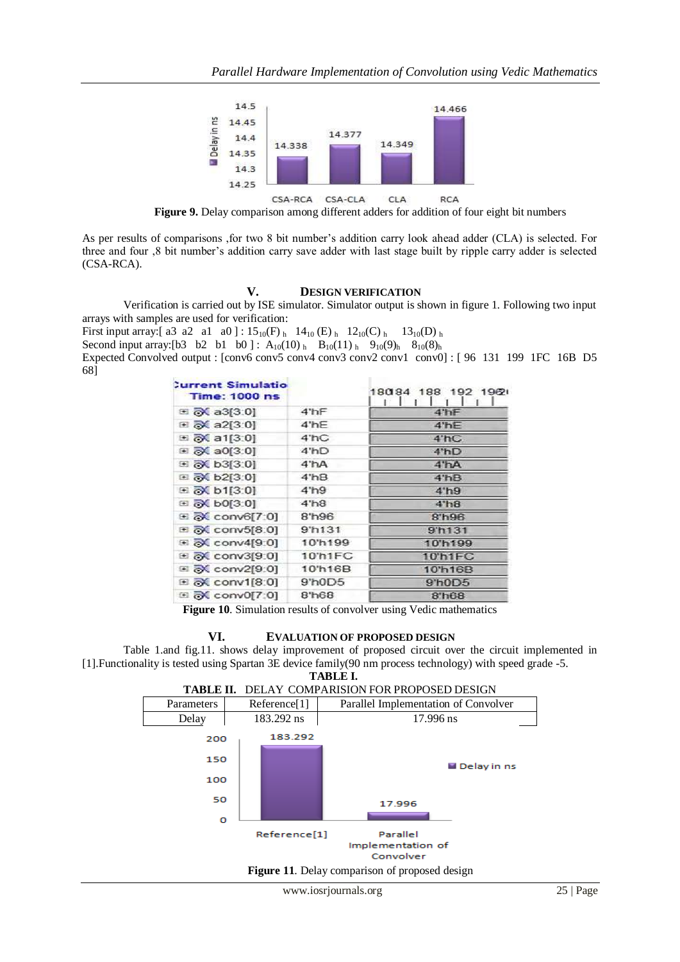

**Figure 9.** Delay comparison among different adders for addition of four eight bit numbers

As per results of comparisons ,for two 8 bit number's addition carry look ahead adder (CLA) is selected. For three and four ,8 bit number's addition carry save adder with last stage built by ripple carry adder is selected (CSA-RCA).

#### **V. DESIGN VERIFICATION**

Verification is carried out by ISE simulator. Simulator output is shown in figure 1. Following two input arrays with samples are used for verification:

First input array: [ a3 a2 a1 a0 ] :  $15_{10}(F)$  h  $14_{10}(E)$  h  $12_{10}(C)$  h  $13_{10}(D)$  h

Second input array: [b3 b2 b1 b0 ] :  $A_{10}(10)$  h  $B_{10}(11)$  h  $9_{10}(9)$  h  $8_{10}(8)$  h

Expected Convolved output : [conv6 conv5 conv4 conv3 conv2 conv1 conv0] : [96 131 199 1FC 16B D5 68]

| <b>Current Simulatio</b><br><b>Time: 1000 ns</b> |                   | 18084 188 192 1962 |
|--------------------------------------------------|-------------------|--------------------|
| $\equiv$ $\sqrt{\sum}$ a3[3:0]                   | 4'hF              | $4$ 'hF            |
| 田 み a2[3:0]                                      | $4$ 'hE           | 4'hE               |
| ⊞ 2 a1[3:0]                                      | 4'hC              | 4'hC               |
| 田 み a0[3:0]                                      | 4'hD              | 4'hD               |
| ⊞ o b3[3:0]                                      | $4$ hA            | 4 <sup>n</sup> A   |
| 田 み b2[3:0]                                      | 4'hB              | 4'hB               |
| ⊞ 2 b1[3:0]                                      | 4 <sup>th</sup> 9 | 4'h9               |
| ⊞ & b0[3:0]                                      | 4 <sup>th8</sup>  | 4 <sup>th</sup> 8  |
| ⊞ & conv6[7:0]                                   | 8'h96             | 8'h96              |
| ⊞ ok conv5[8:0]                                  | 9'h131            | 9'h131             |
| 田 み conv4[9:0]                                   | 10'h199           | 10'h199            |
| 田 ox conv3[9:0]                                  | 10'h1FC           | 10'h1FC            |
| ⊞ & conv2[9:0]                                   | 10'h16B           | 10'h16B            |
| <b>El &amp; conv1[8:0]</b>                       | 9'h0D5            | 9'h0D5             |
| ⊞ & conv0[7:0]                                   | 8'h68             | 8 <sup>th68</sup>  |

**Figure 10**. Simulation results of convolver using Vedic mathematics

#### **VI. EVALUATION OF PROPOSED DESIGN**

Table 1.and fig.11. shows delay improvement of proposed circuit over the circuit implemented in [1].Functionality is tested using Spartan 3E device family(90 nm process technology) with speed grade -5.

**TABLE I.**